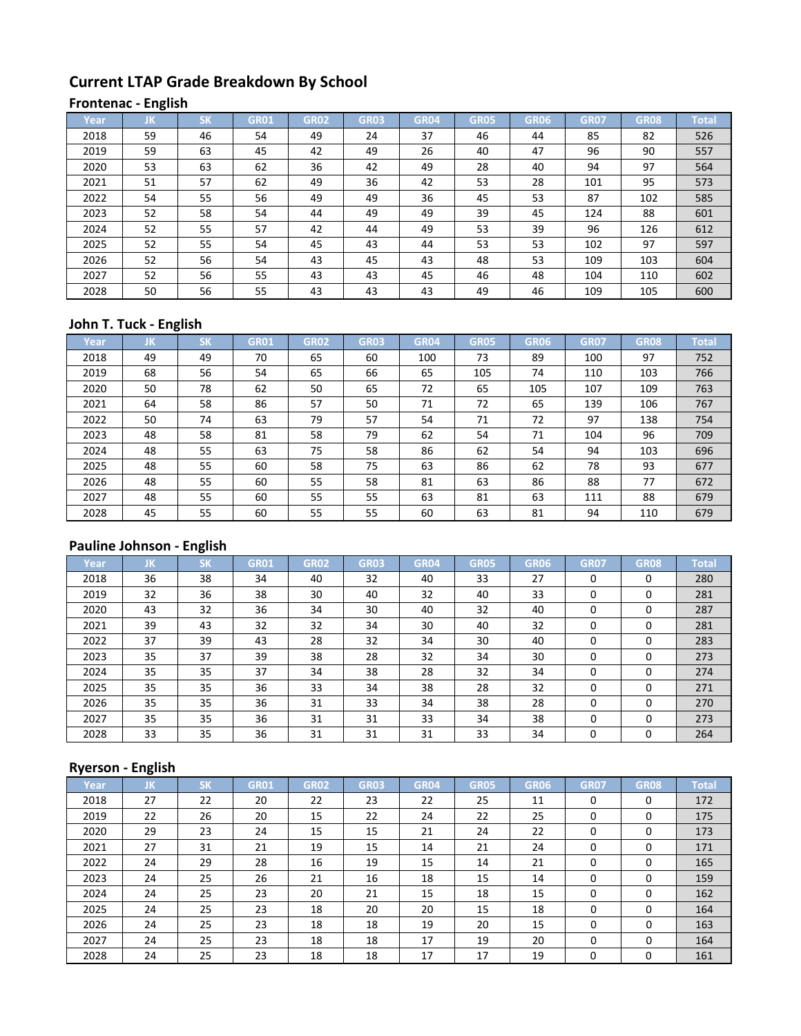# **Current LTAP Grade Breakdown By School**

#### **Frontenac - English**

| Year | IJΚ | <b>SK</b> | <b>GR01</b> | <b>GR02</b> | <b>GR03</b> | <b>GR04</b> | <b>GR05</b> | <b>GR06</b> | <b>GR07</b> | <b>GR08</b> | <b>Total</b> |
|------|-----|-----------|-------------|-------------|-------------|-------------|-------------|-------------|-------------|-------------|--------------|
| 2018 | 59  | 46        | 54          | 49          | 24          | 37          | 46          | 44          | 85          | 82          | 526          |
| 2019 | 59  | 63        | 45          | 42          | 49          | 26          | 40          | 47          | 96          | 90          | 557          |
| 2020 | 53  | 63        | 62          | 36          | 42          | 49          | 28          | 40          | 94          | 97          | 564          |
| 2021 | 51  | 57        | 62          | 49          | 36          | 42          | 53          | 28          | 101         | 95          | 573          |
| 2022 | 54  | 55        | 56          | 49          | 49          | 36          | 45          | 53          | 87          | 102         | 585          |
| 2023 | 52  | 58        | 54          | 44          | 49          | 49          | 39          | 45          | 124         | 88          | 601          |
| 2024 | 52  | 55        | 57          | 42          | 44          | 49          | 53          | 39          | 96          | 126         | 612          |
| 2025 | 52  | 55        | 54          | 45          | 43          | 44          | 53          | 53          | 102         | 97          | 597          |
| 2026 | 52  | 56        | 54          | 43          | 45          | 43          | 48          | 53          | 109         | 103         | 604          |
| 2027 | 52  | 56        | 55          | 43          | 43          | 45          | 46          | 48          | 104         | 110         | 602          |
| 2028 | 50  | 56        | 55          | 43          | 43          | 43          | 49          | 46          | 109         | 105         | 600          |

### **John T. Tuck - English**

| Year | IJΚ | <b>SK</b> | <b>GR01</b> | <b>GR02</b> | <b>GR03</b> | <b>GR04</b> | <b>GR05</b> | GR06 | <b>GR07</b> | <b>GR08</b> | <b>Total</b> |
|------|-----|-----------|-------------|-------------|-------------|-------------|-------------|------|-------------|-------------|--------------|
| 2018 | 49  | 49        | 70          | 65          | 60          | 100         | 73          | 89   | 100         | 97          | 752          |
| 2019 | 68  | 56        | 54          | 65          | 66          | 65          | 105         | 74   | 110         | 103         | 766          |
| 2020 | 50  | 78        | 62          | 50          | 65          | 72          | 65          | 105  | 107         | 109         | 763          |
| 2021 | 64  | 58        | 86          | 57          | 50          | 71          | 72          | 65   | 139         | 106         | 767          |
| 2022 | 50  | 74        | 63          | 79          | 57          | 54          | 71          | 72   | 97          | 138         | 754          |
| 2023 | 48  | 58        | 81          | 58          | 79          | 62          | 54          | 71   | 104         | 96          | 709          |
| 2024 | 48  | 55        | 63          | 75          | 58          | 86          | 62          | 54   | 94          | 103         | 696          |
| 2025 | 48  | 55        | 60          | 58          | 75          | 63          | 86          | 62   | 78          | 93          | 677          |
| 2026 | 48  | 55        | 60          | 55          | 58          | 81          | 63          | 86   | 88          | 77          | 672          |
| 2027 | 48  | 55        | 60          | 55          | 55          | 63          | 81          | 63   | 111         | 88          | 679          |
| 2028 | 45  | 55        | 60          | 55          | 55          | 60          | 63          | 81   | 94          | 110         | 679          |

# **Pauline Johnson - English**

| Year | JK | <b>SK</b> | <b>GR01</b> | GR <sub>02</sub> | <b>GR03</b> | <b>GR04</b> | <b>GR05</b> | GR06 | <b>GR07</b> | <b>GR08</b> | <b>Total</b> |
|------|----|-----------|-------------|------------------|-------------|-------------|-------------|------|-------------|-------------|--------------|
| 2018 | 36 | 38        | 34          | 40               | 32          | 40          | 33          | 27   | 0           | 0           | 280          |
| 2019 | 32 | 36        | 38          | 30               | 40          | 32          | 40          | 33   | 0           | 0           | 281          |
| 2020 | 43 | 32        | 36          | 34               | 30          | 40          | 32          | 40   | 0           | 0           | 287          |
| 2021 | 39 | 43        | 32          | 32               | 34          | 30          | 40          | 32   | 0           | 0           | 281          |
| 2022 | 37 | 39        | 43          | 28               | 32          | 34          | 30          | 40   | 0           | 0           | 283          |
| 2023 | 35 | 37        | 39          | 38               | 28          | 32          | 34          | 30   | 0           | $\Omega$    | 273          |
| 2024 | 35 | 35        | 37          | 34               | 38          | 28          | 32          | 34   | 0           | 0           | 274          |
| 2025 | 35 | 35        | 36          | 33               | 34          | 38          | 28          | 32   | 0           | 0           | 271          |
| 2026 | 35 | 35        | 36          | 31               | 33          | 34          | 38          | 28   | 0           | 0           | 270          |
| 2027 | 35 | 35        | 36          | 31               | 31          | 33          | 34          | 38   | 0           | $\Omega$    | 273          |
| 2028 | 33 | 35        | 36          | 31               | 31          | 31          | 33          | 34   | 0           | $\Omega$    | 264          |

### **Ryerson - English**

| Year | JK | <b>SK</b> | <b>GR01</b> | <b>GR02</b> | <b>GR03</b> | <b>GR04</b> | <b>GR05</b> | <b>GR06</b> | <b>GR07</b> | <b>GR08</b> | <b>Total</b> |
|------|----|-----------|-------------|-------------|-------------|-------------|-------------|-------------|-------------|-------------|--------------|
| 2018 | 27 | 22        | 20          | 22          | 23          | 22          | 25          | 11          | 0           | 0           | 172          |
| 2019 | 22 | 26        | 20          | 15          | 22          | 24          | 22          | 25          | 0           | 0           | 175          |
| 2020 | 29 | 23        | 24          | 15          | 15          | 21          | 24          | 22          | 0           | 0           | 173          |
| 2021 | 27 | 31        | 21          | 19          | 15          | 14          | 21          | 24          | 0           | $\Omega$    | 171          |
| 2022 | 24 | 29        | 28          | 16          | 19          | 15          | 14          | 21          | 0           | $\Omega$    | 165          |
| 2023 | 24 | 25        | 26          | 21          | 16          | 18          | 15          | 14          | 0           | $\Omega$    | 159          |
| 2024 | 24 | 25        | 23          | 20          | 21          | 15          | 18          | 15          | 0           | 0           | 162          |
| 2025 | 24 | 25        | 23          | 18          | 20          | 20          | 15          | 18          | 0           | $\Omega$    | 164          |
| 2026 | 24 | 25        | 23          | 18          | 18          | 19          | 20          | 15          | 0           | 0           | 163          |
| 2027 | 24 | 25        | 23          | 18          | 18          | 17          | 19          | 20          | 0           | $\Omega$    | 164          |
| 2028 | 24 | 25        | 23          | 18          | 18          | 17          | 17          | 19          | 0           | 0           | 161          |